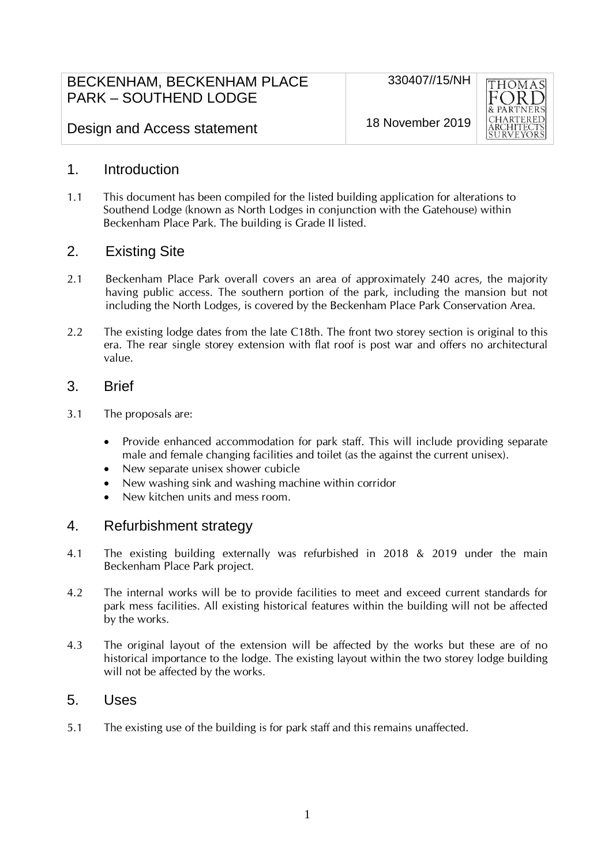| BECKENHAM, BECKENHAM PLACE   |
|------------------------------|
| <b>PARK – SOUTHEND LODGE</b> |



Design and Access statement

18 November 2019

### 1. Introduction

1.1 This document has been compiled for the listed building application for alterations to Southend Lodge (known as North Lodges in conjunction with the Gatehouse) within Beckenham Place Park. The building is Grade II listed.

# 2. Existing Site

- 2.1 Beckenham Place Park overall covers an area of approximately 240 acres, the majority having public access. The southern portion of the park, including the mansion but not including the North Lodges, is covered by the Beckenham Place Park Conservation Area.
- 2.2 The existing lodge dates from the late C18th. The front two storey section is original to this era. The rear single storey extension with flat roof is post war and offers no architectural value.

### 3. Brief

- 3.1 The proposals are:
	- Provide enhanced accommodation for park staff. This will include providing separate male and female changing facilities and toilet (as the against the current unisex).
	- New separate unisex shower cubicle
	- New washing sink and washing machine within corridor
	- New kitchen units and mess room.

#### 4. Refurbishment strategy

- 4.1 The existing building externally was refurbished in 2018 & 2019 under the main Beckenham Place Park project.
- 4.2 The internal works will be to provide facilities to meet and exceed current standards for park mess facilities. All existing historical features within the building will not be affected by the works.
- 4.3 The original layout of the extension will be affected by the works but these are of no historical importance to the lodge. The existing layout within the two storey lodge building will not be affected by the works.

#### 5. Uses

5.1 The existing use of the building is for park staff and this remains unaffected.